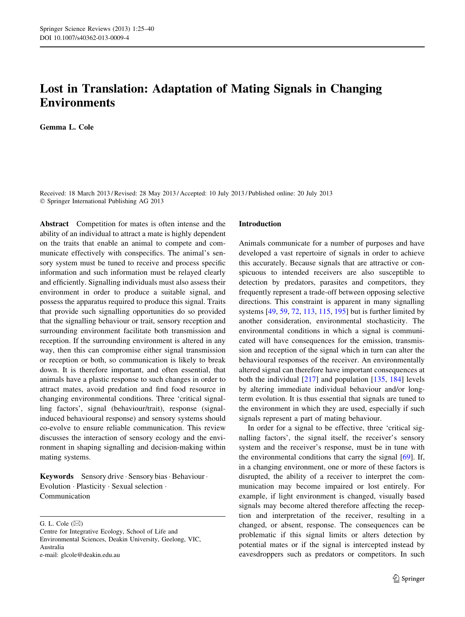# Lost in Translation: Adaptation of Mating Signals in Changing **Environments**

Gemma L. Cole

Received: 18 March 2013 / Revised: 28 May 2013 / Accepted: 10 July 2013 / Published online: 20 July 2013 - Springer International Publishing AG 2013

Abstract Competition for mates is often intense and the ability of an individual to attract a mate is highly dependent on the traits that enable an animal to compete and communicate effectively with conspecifics. The animal's sensory system must be tuned to receive and process specific information and such information must be relayed clearly and efficiently. Signalling individuals must also assess their environment in order to produce a suitable signal, and possess the apparatus required to produce this signal. Traits that provide such signalling opportunities do so provided that the signalling behaviour or trait, sensory reception and surrounding environment facilitate both transmission and reception. If the surrounding environment is altered in any way, then this can compromise either signal transmission or reception or both, so communication is likely to break down. It is therefore important, and often essential, that animals have a plastic response to such changes in order to attract mates, avoid predation and find food resource in changing environmental conditions. Three 'critical signalling factors', signal (behaviour/trait), response (signalinduced behavioural response) and sensory systems should co-evolve to ensure reliable communication. This review discusses the interaction of sensory ecology and the environment in shaping signalling and decision-making within mating systems.

Keywords Sensory drive · Sensory bias · Behaviour · Evolution - Plasticity - Sexual selection - Communication

G. L. Cole  $(\boxtimes)$ 

Centre for Integrative Ecology, School of Life and Environmental Sciences, Deakin University, Geelong, VIC, Australia e-mail: glcole@deakin.edu.au

#### Introduction

Animals communicate for a number of purposes and have developed a vast repertoire of signals in order to achieve this accurately. Because signals that are attractive or conspicuous to intended receivers are also susceptible to detection by predators, parasites and competitors, they frequently represent a trade-off between opposing selective directions. This constraint is apparent in many signalling systems [[49,](#page-11-0) [59,](#page-12-0) [72](#page-12-0), [113](#page-13-0), [115](#page-13-0), [195](#page-15-0)] but is further limited by another consideration, environmental stochasticity. The environmental conditions in which a signal is communicated will have consequences for the emission, transmission and reception of the signal which in turn can alter the behavioural responses of the receiver. An environmentally altered signal can therefore have important consequences at both the individual [[217\]](#page-15-0) and population [[135,](#page-13-0) [184](#page-14-0)] levels by altering immediate individual behaviour and/or longterm evolution. It is thus essential that signals are tuned to the environment in which they are used, especially if such signals represent a part of mating behaviour.

In order for a signal to be effective, three 'critical signalling factors', the signal itself, the receiver's sensory system and the receiver's response, must be in tune with the environmental conditions that carry the signal [\[69\]](#page-12-0). If, in a changing environment, one or more of these factors is disrupted, the ability of a receiver to interpret the communication may become impaired or lost entirely. For example, if light environment is changed, visually based signals may become altered therefore affecting the reception and interpretation of the receiver, resulting in a changed, or absent, response. The consequences can be problematic if this signal limits or alters detection by potential mates or if the signal is intercepted instead by eavesdroppers such as predators or competitors. In such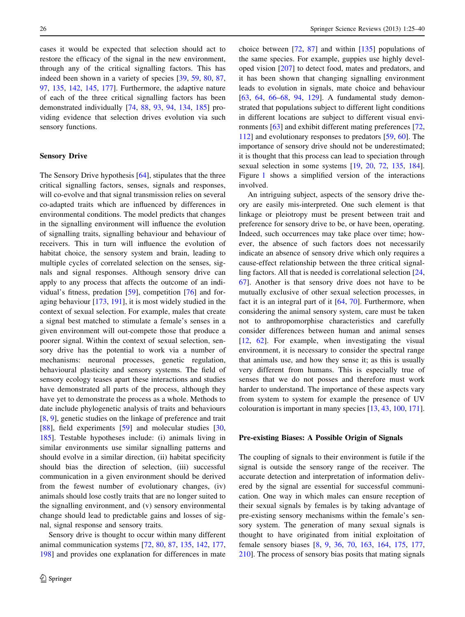cases it would be expected that selection should act to restore the efficacy of the signal in the new environment, through any of the critical signalling factors. This has indeed been shown in a variety of species [\[39](#page-11-0), [59](#page-12-0), [80,](#page-12-0) [87,](#page-12-0) [97,](#page-13-0) [135](#page-13-0), [142](#page-14-0), [145](#page-14-0), [177](#page-14-0)]. Furthermore, the adaptive nature of each of the three critical signalling factors has been demonstrated individually [\[74](#page-12-0), [88](#page-12-0), [93,](#page-12-0) [94,](#page-12-0) [134](#page-13-0), [185](#page-14-0)] providing evidence that selection drives evolution via such sensory functions.

## Sensory Drive

The Sensory Drive hypothesis [[64\]](#page-12-0), stipulates that the three critical signalling factors, senses, signals and responses, will co-evolve and that signal transmission relies on several co-adapted traits which are influenced by differences in environmental conditions. The model predicts that changes in the signalling environment will influence the evolution of signalling traits, signalling behaviour and behaviour of receivers. This in turn will influence the evolution of habitat choice, the sensory system and brain, leading to multiple cycles of correlated selection on the senses, signals and signal responses. Although sensory drive can apply to any process that affects the outcome of an individual's fitness, predation [[59\]](#page-12-0), competition [[76\]](#page-12-0) and foraging behaviour [[173,](#page-14-0) [191\]](#page-15-0), it is most widely studied in the context of sexual selection. For example, males that create a signal best matched to stimulate a female's senses in a given environment will out-compete those that produce a poorer signal. Within the context of sexual selection, sensory drive has the potential to work via a number of mechanisms: neuronal processes, genetic regulation, behavioural plasticity and sensory systems. The field of sensory ecology teases apart these interactions and studies have demonstrated all parts of the process, although they have yet to demonstrate the process as a whole. Methods to date include phylogenetic analysis of traits and behaviours [\[8](#page-11-0), [9\]](#page-11-0), genetic studies on the linkage of preference and trait [\[88](#page-12-0)], field experiments [\[59](#page-12-0)] and molecular studies [[30,](#page-11-0) [185\]](#page-14-0). Testable hypotheses include: (i) animals living in similar environments use similar signalling patterns and should evolve in a similar direction, (ii) habitat specificity should bias the direction of selection, (iii) successful communication in a given environment should be derived from the fewest number of evolutionary changes, (iv) animals should lose costly traits that are no longer suited to the signalling environment, and (v) sensory environmental change should lead to predictable gains and losses of signal, signal response and sensory traits.

Sensory drive is thought to occur within many different animal communication systems [[72,](#page-12-0) [80,](#page-12-0) [87](#page-12-0), [135,](#page-13-0) [142](#page-14-0), [177,](#page-14-0) [198\]](#page-15-0) and provides one explanation for differences in mate choice between [\[72](#page-12-0), [87\]](#page-12-0) and within [[135\]](#page-13-0) populations of the same species. For example, guppies use highly developed vision [[207\]](#page-15-0) to detect food, mates and predators, and it has been shown that changing signalling environment leads to evolution in signals, mate choice and behaviour [\[63](#page-12-0), [64,](#page-12-0) [66–68](#page-12-0), [94,](#page-12-0) [129](#page-13-0)]. A fundamental study demonstrated that populations subject to different light conditions in different locations are subject to different visual environments [\[63](#page-12-0)] and exhibit different mating preferences [[72,](#page-12-0) [112](#page-13-0)] and evolutionary responses to predators [\[59](#page-12-0), [60\]](#page-12-0). The importance of sensory drive should not be underestimated; it is thought that this process can lead to speciation through sexual selection in some systems [[19,](#page-11-0) [20,](#page-11-0) [72](#page-12-0), [135,](#page-13-0) [184](#page-14-0)]. Figure [1](#page-2-0) shows a simplified version of the interactions involved.

An intriguing subject, aspects of the sensory drive theory are easily mis-interpreted. One such element is that linkage or pleiotropy must be present between trait and preference for sensory drive to be, or have been, operating. Indeed, such occurrences may take place over time; however, the absence of such factors does not necessarily indicate an absence of sensory drive which only requires a cause-effect relationship between the three critical signalling factors. All that is needed is correlational selection [[24,](#page-11-0) [67](#page-12-0)]. Another is that sensory drive does not have to be mutually exclusive of other sexual selection processes, in fact it is an integral part of it [\[64](#page-12-0), [70\]](#page-12-0). Furthermore, when considering the animal sensory system, care must be taken not to anthropomorphise characteristics and carefully consider differences between human and animal senses [\[12](#page-11-0), [62\]](#page-12-0). For example, when investigating the visual environment, it is necessary to consider the spectral range that animals use, and how they sense it; as this is usually very different from humans. This is especially true of senses that we do not posses and therefore must work harder to understand. The importance of these aspects vary from system to system for example the presence of UV colouration is important in many species [[13,](#page-11-0) [43,](#page-11-0) [100,](#page-13-0) [171](#page-14-0)].

## Pre-existing Biases: A Possible Origin of Signals

The coupling of signals to their environment is futile if the signal is outside the sensory range of the receiver. The accurate detection and interpretation of information delivered by the signal are essential for successful communication. One way in which males can ensure reception of their sexual signals by females is by taking advantage of pre-existing sensory mechanisms within the female's sensory system. The generation of many sexual signals is thought to have originated from initial exploitation of female sensory biases [[8,](#page-11-0) [9](#page-11-0), [36](#page-11-0), [70,](#page-12-0) [163,](#page-14-0) [164](#page-14-0), [175,](#page-14-0) [177,](#page-14-0) [210](#page-15-0)]. The process of sensory bias posits that mating signals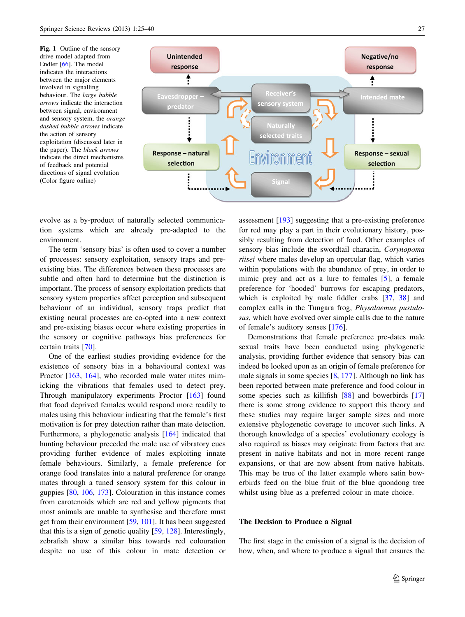<span id="page-2-0"></span>

evolve as a by-product of naturally selected communication systems which are already pre-adapted to the environment.

The term 'sensory bias' is often used to cover a number of processes: sensory exploitation, sensory traps and preexisting bias. The differences between these processes are subtle and often hard to determine but the distinction is important. The process of sensory exploitation predicts that sensory system properties affect perception and subsequent behaviour of an individual, sensory traps predict that existing neural processes are co-opted into a new context and pre-existing biases occur where existing properties in the sensory or cognitive pathways bias preferences for certain traits [\[70](#page-12-0)].

One of the earliest studies providing evidence for the existence of sensory bias in a behavioural context was Proctor [\[163](#page-14-0), [164\]](#page-14-0), who recorded male water mites mimicking the vibrations that females used to detect prey. Through manipulatory experiments Proctor [\[163](#page-14-0)] found that food deprived females would respond more readily to males using this behaviour indicating that the female's first motivation is for prey detection rather than mate detection. Furthermore, a phylogenetic analysis [\[164](#page-14-0)] indicated that hunting behaviour preceded the male use of vibratory cues providing further evidence of males exploiting innate female behaviours. Similarly, a female preference for orange food translates into a natural preference for orange mates through a tuned sensory system for this colour in guppies [\[80](#page-12-0), [106,](#page-13-0) [173\]](#page-14-0). Colouration in this instance comes from carotenoids which are red and yellow pigments that most animals are unable to synthesise and therefore must get from their environment [\[59](#page-12-0), [101](#page-13-0)]. It has been suggested that this is a sign of genetic quality [[59,](#page-12-0) [128\]](#page-13-0). Interestingly, zebrafish show a similar bias towards red colouration despite no use of this colour in mate detection or assessment [\[193](#page-15-0)] suggesting that a pre-existing preference for red may play a part in their evolutionary history, possibly resulting from detection of food. Other examples of sensory bias include the swordtail characin, Corynopoma riisei where males develop an opercular flag, which varies within populations with the abundance of prey, in order to mimic prey and act as a lure to females [[5\]](#page-11-0), a female preference for 'hooded' burrows for escaping predators, which is exploited by male fiddler crabs [\[37](#page-11-0), [38](#page-11-0)] and complex calls in the Tungara frog, Physalaemus pustulosus, which have evolved over simple calls due to the nature of female's auditory senses [\[176](#page-14-0)].

Demonstrations that female preference pre-dates male sexual traits have been conducted using phylogenetic analysis, providing further evidence that sensory bias can indeed be looked upon as an origin of female preference for male signals in some species [[8,](#page-11-0) [177\]](#page-14-0). Although no link has been reported between mate preference and food colour in some species such as killifish [[88\]](#page-12-0) and bowerbirds [[17\]](#page-11-0) there is some strong evidence to support this theory and these studies may require larger sample sizes and more extensive phylogenetic coverage to uncover such links. A thorough knowledge of a species' evolutionary ecology is also required as biases may originate from factors that are present in native habitats and not in more recent range expansions, or that are now absent from native habitats. This may be true of the latter example where satin bowerbirds feed on the blue fruit of the blue quondong tree whilst using blue as a preferred colour in mate choice.

#### The Decision to Produce a Signal

The first stage in the emission of a signal is the decision of how, when, and where to produce a signal that ensures the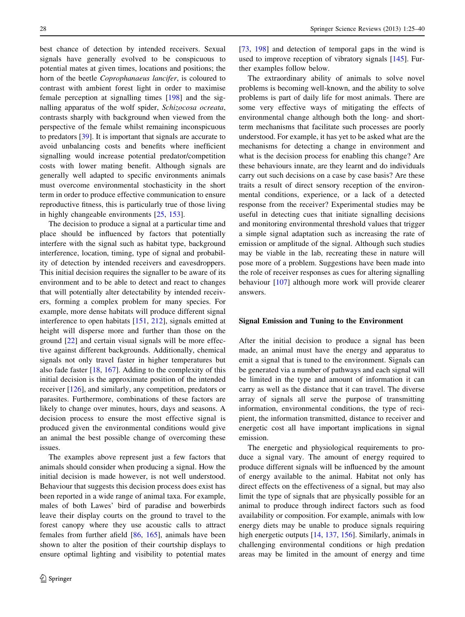best chance of detection by intended receivers. Sexual signals have generally evolved to be conspicuous to potential mates at given times, locations and positions; the horn of the beetle Coprophanaeus lancifer, is coloured to contrast with ambient forest light in order to maximise female perception at signalling times [\[198](#page-15-0)] and the signalling apparatus of the wolf spider, Schizocosa ocreata, contrasts sharply with background when viewed from the perspective of the female whilst remaining inconspicuous to predators [[39\]](#page-11-0). It is important that signals are accurate to avoid unbalancing costs and benefits where inefficient signalling would increase potential predator/competition costs with lower mating benefit. Although signals are generally well adapted to specific environments animals must overcome environmental stochasticity in the short term in order to produce effective communication to ensure reproductive fitness, this is particularly true of those living in highly changeable environments [[25,](#page-11-0) [153](#page-14-0)].

The decision to produce a signal at a particular time and place should be influenced by factors that potentially interfere with the signal such as habitat type, background interference, location, timing, type of signal and probability of detection by intended receivers and eavesdroppers. This initial decision requires the signaller to be aware of its environment and to be able to detect and react to changes that will potentially alter detectability by intended receivers, forming a complex problem for many species. For example, more dense habitats will produce different signal interference to open habitats [\[151](#page-14-0), [212\]](#page-15-0), signals emitted at height will disperse more and further than those on the ground [\[22](#page-11-0)] and certain visual signals will be more effective against different backgrounds. Additionally, chemical signals not only travel faster in higher temperatures but also fade faster [\[18](#page-11-0), [167\]](#page-14-0). Adding to the complexity of this initial decision is the approximate position of the intended receiver [\[126](#page-13-0)], and similarly, any competition, predators or parasites. Furthermore, combinations of these factors are likely to change over minutes, hours, days and seasons. A decision process to ensure the most effective signal is produced given the environmental conditions would give an animal the best possible change of overcoming these issues.

The examples above represent just a few factors that animals should consider when producing a signal. How the initial decision is made however, is not well understood. Behaviour that suggests this decision process does exist has been reported in a wide range of animal taxa. For example, males of both Lawes' bird of paradise and bowerbirds leave their display courts on the ground to travel to the forest canopy where they use acoustic calls to attract females from further afield [[86,](#page-12-0) [165](#page-14-0)], animals have been shown to alter the position of their courtship displays to ensure optimal lighting and visibility to potential mates [\[73](#page-12-0), [198](#page-15-0)] and detection of temporal gaps in the wind is used to improve reception of vibratory signals [[145\]](#page-14-0). Further examples follow below.

The extraordinary ability of animals to solve novel problems is becoming well-known, and the ability to solve problems is part of daily life for most animals. There are some very effective ways of mitigating the effects of environmental change although both the long- and shortterm mechanisms that facilitate such processes are poorly understood. For example, it has yet to be asked what are the mechanisms for detecting a change in environment and what is the decision process for enabling this change? Are these behaviours innate, are they learnt and do individuals carry out such decisions on a case by case basis? Are these traits a result of direct sensory reception of the environmental conditions, experience, or a lack of a detected response from the receiver? Experimental studies may be useful in detecting cues that initiate signalling decisions and monitoring environmental threshold values that trigger a simple signal adaptation such as increasing the rate of emission or amplitude of the signal. Although such studies may be viable in the lab, recreating these in nature will pose more of a problem. Suggestions have been made into the role of receiver responses as cues for altering signalling behaviour [\[107](#page-13-0)] although more work will provide clearer answers.

## Signal Emission and Tuning to the Environment

After the initial decision to produce a signal has been made, an animal must have the energy and apparatus to emit a signal that is tuned to the environment. Signals can be generated via a number of pathways and each signal will be limited in the type and amount of information it can carry as well as the distance that it can travel. The diverse array of signals all serve the purpose of transmitting information, environmental conditions, the type of recipient, the information transmitted, distance to receiver and energetic cost all have important implications in signal emission.

The energetic and physiological requirements to produce a signal vary. The amount of energy required to produce different signals will be influenced by the amount of energy available to the animal. Habitat not only has direct effects on the effectiveness of a signal, but may also limit the type of signals that are physically possible for an animal to produce through indirect factors such as food availability or composition. For example, animals with low energy diets may be unable to produce signals requiring high energetic outputs [\[14](#page-11-0), [137,](#page-13-0) [156\]](#page-14-0). Similarly, animals in challenging environmental conditions or high predation areas may be limited in the amount of energy and time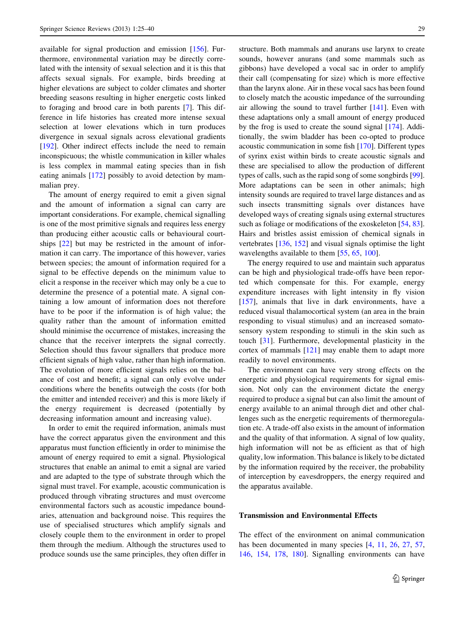available for signal production and emission [[156\]](#page-14-0). Furthermore, environmental variation may be directly correlated with the intensity of sexual selection and it is this that affects sexual signals. For example, birds breeding at higher elevations are subject to colder climates and shorter breeding seasons resulting in higher energetic costs linked to foraging and brood care in both parents [[7\]](#page-11-0). This difference in life histories has created more intense sexual selection at lower elevations which in turn produces divergence in sexual signals across elevational gradients [\[192](#page-15-0)]. Other indirect effects include the need to remain inconspicuous; the whistle communication in killer whales is less complex in mammal eating species than in fish eating animals [[172\]](#page-14-0) possibly to avoid detection by mammalian prey.

The amount of energy required to emit a given signal and the amount of information a signal can carry are important considerations. For example, chemical signalling is one of the most primitive signals and requires less energy than producing either acoustic calls or behavioural courtships [\[22](#page-11-0)] but may be restricted in the amount of information it can carry. The importance of this however, varies between species; the amount of information required for a signal to be effective depends on the minimum value to elicit a response in the receiver which may only be a cue to determine the presence of a potential mate. A signal containing a low amount of information does not therefore have to be poor if the information is of high value; the quality rather than the amount of information emitted should minimise the occurrence of mistakes, increasing the chance that the receiver interprets the signal correctly. Selection should thus favour signallers that produce more efficient signals of high value, rather than high information. The evolution of more efficient signals relies on the balance of cost and benefit; a signal can only evolve under conditions where the benefits outweigh the costs (for both the emitter and intended receiver) and this is more likely if the energy requirement is decreased (potentially by decreasing information amount and increasing value).

In order to emit the required information, animals must have the correct apparatus given the environment and this apparatus must function efficiently in order to minimise the amount of energy required to emit a signal. Physiological structures that enable an animal to emit a signal are varied and are adapted to the type of substrate through which the signal must travel. For example, acoustic communication is produced through vibrating structures and must overcome environmental factors such as acoustic impedance boundaries, attenuation and background noise. This requires the use of specialised structures which amplify signals and closely couple them to the environment in order to propel them through the medium. Although the structures used to produce sounds use the same principles, they often differ in structure. Both mammals and anurans use larynx to create sounds, however anurans (and some mammals such as gibbons) have developed a vocal sac in order to amplify their call (compensating for size) which is more effective than the larynx alone. Air in these vocal sacs has been found to closely match the acoustic impedance of the surrounding air allowing the sound to travel further [\[141](#page-14-0)]. Even with these adaptations only a small amount of energy produced by the frog is used to create the sound signal [[174\]](#page-14-0). Additionally, the swim bladder has been co-opted to produce acoustic communication in some fish [[170\]](#page-14-0). Different types of syrinx exist within birds to create acoustic signals and these are specialised to allow the production of different types of calls, such as the rapid song of some songbirds [\[99](#page-13-0)]. More adaptations can be seen in other animals; high intensity sounds are required to travel large distances and as such insects transmitting signals over distances have developed ways of creating signals using external structures such as foliage or modifications of the exoskeleton [[54,](#page-12-0) [83](#page-12-0)]. Hairs and bristles assist emission of chemical signals in vertebrates [\[136](#page-13-0), [152\]](#page-14-0) and visual signals optimise the light wavelengths available to them [[55,](#page-12-0) [65](#page-12-0), [100](#page-13-0)].

The energy required to use and maintain such apparatus can be high and physiological trade-offs have been reported which compensate for this. For example, energy expenditure increases with light intensity in fly vision [\[157](#page-14-0)], animals that live in dark environments, have a reduced visual thalamocortical system (an area in the brain responding to visual stimulus) and an increased somatosensory system responding to stimuli in the skin such as touch [\[31](#page-11-0)]. Furthermore, developmental plasticity in the cortex of mammals  $[121]$  may enable them to adapt more readily to novel environments.

The environment can have very strong effects on the energetic and physiological requirements for signal emission. Not only can the environment dictate the energy required to produce a signal but can also limit the amount of energy available to an animal through diet and other challenges such as the energetic requirements of thermoregulation etc. A trade-off also exists in the amount of information and the quality of that information. A signal of low quality, high information will not be as efficient as that of high quality, low information. This balance is likely to be dictated by the information required by the receiver, the probability of interception by eavesdroppers, the energy required and the apparatus available.

## Transmission and Environmental Effects

The effect of the environment on animal communication has been documented in many species [[4,](#page-11-0) [11](#page-11-0), [26](#page-11-0), [27,](#page-11-0) [57,](#page-12-0) [146](#page-14-0), [154,](#page-14-0) [178](#page-14-0), [180](#page-14-0)]. Signalling environments can have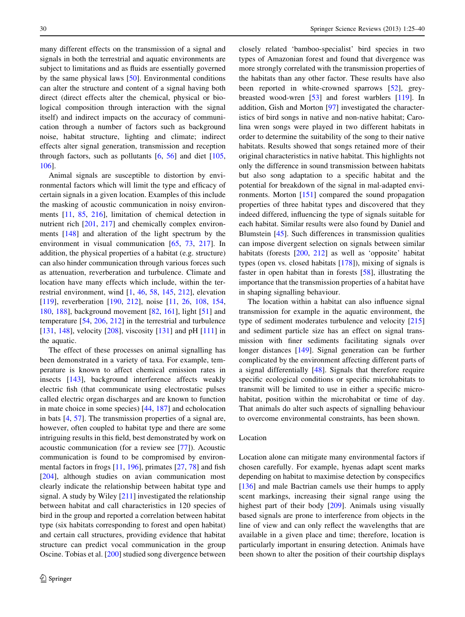many different effects on the transmission of a signal and signals in both the terrestrial and aquatic environments are subject to limitations and as fluids are essentially governed by the same physical laws [\[50](#page-11-0)]. Environmental conditions can alter the structure and content of a signal having both direct (direct effects alter the chemical, physical or biological composition through interaction with the signal itself) and indirect impacts on the accuracy of communication through a number of factors such as background noise, habitat structure, lighting and climate; indirect effects alter signal generation, transmission and reception through factors, such as pollutants  $[6, 56]$  $[6, 56]$  $[6, 56]$  $[6, 56]$  $[6, 56]$  and diet  $[105,$  $[105,$ [106\]](#page-13-0).

Animal signals are susceptible to distortion by environmental factors which will limit the type and efficacy of certain signals in a given location. Examples of this include the masking of acoustic communication in noisy environments [[11,](#page-11-0) [85,](#page-12-0) [216\]](#page-15-0), limitation of chemical detection in nutrient rich [\[201](#page-15-0), [217](#page-15-0)] and chemically complex environments [[148\]](#page-14-0) and alteration of the light spectrum by the environment in visual communication [[65,](#page-12-0) [73](#page-12-0), [217\]](#page-15-0). In addition, the physical properties of a habitat (e.g. structure) can also hinder communication through various forces such as attenuation, reverberation and turbulence. Climate and location have many effects which include, within the terrestrial environment, wind [\[1](#page-10-0), [46,](#page-11-0) [58,](#page-12-0) [145](#page-14-0), [212](#page-15-0)], elevation [\[119](#page-13-0)], reverberation [[190,](#page-15-0) [212](#page-15-0)], noise [\[11](#page-11-0), [26](#page-11-0), [108,](#page-13-0) [154,](#page-14-0) [180,](#page-14-0) [188\]](#page-15-0), background movement [\[82](#page-12-0), [161\]](#page-14-0), light [\[51](#page-12-0)] and temperature [\[54](#page-12-0), [206,](#page-15-0) [212\]](#page-15-0) in the terrestrial and turbulence [\[131](#page-13-0), [148\]](#page-14-0), velocity [\[208](#page-15-0)], viscosity [[131\]](#page-13-0) and pH [\[111](#page-13-0)] in the aquatic.

The effect of these processes on animal signalling has been demonstrated in a variety of taxa. For example, temperature is known to affect chemical emission rates in insects [[143\]](#page-14-0), background interference affects weakly electric fish (that communicate using electrostatic pulses called electric organ discharges and are known to function in mate choice in some species) [[44,](#page-11-0) [187\]](#page-15-0) and echolocation in bats [\[4](#page-11-0), [57\]](#page-12-0). The transmission properties of a signal are, however, often coupled to habitat type and there are some intriguing results in this field, best demonstrated by work on acoustic communication (for a review see [[77\]](#page-12-0)). Acoustic communication is found to be compromised by environmental factors in frogs [[11,](#page-11-0) [196\]](#page-15-0), primates [[27,](#page-11-0) [78\]](#page-12-0) and fish [\[204](#page-15-0)], although studies on avian communication most clearly indicate the relationship between habitat type and signal. A study by Wiley [[211\]](#page-15-0) investigated the relationship between habitat and call characteristics in 120 species of bird in the group and reported a correlation between habitat type (six habitats corresponding to forest and open habitat) and certain call structures, providing evidence that habitat structure can predict vocal communication in the group Oscine. Tobias et al. [\[200](#page-15-0)] studied song divergence between closely related 'bamboo-specialist' bird species in two types of Amazonian forest and found that divergence was more strongly correlated with the transmission properties of the habitats than any other factor. These results have also been reported in white-crowned sparrows [\[52](#page-12-0)], greybreasted wood-wren [\[53](#page-12-0)] and forest warblers [[119\]](#page-13-0). In addition, Gish and Morton [[97\]](#page-13-0) investigated the characteristics of bird songs in native and non-native habitat; Carolina wren songs were played in two different habitats in order to determine the suitability of the song to their native habitats. Results showed that songs retained more of their original characteristics in native habitat. This highlights not only the difference in sound transmission between habitats but also song adaptation to a specific habitat and the potential for breakdown of the signal in mal-adapted environments. Morton [[151\]](#page-14-0) compared the sound propagation properties of three habitat types and discovered that they indeed differed, influencing the type of signals suitable for each habitat. Similar results were also found by Daniel and Blumstein [\[45](#page-11-0)]. Such differences in transmission qualities can impose divergent selection on signals between similar habitats (forests [[200,](#page-15-0) [212\]](#page-15-0) as well as 'opposite' habitat types (open vs. closed habitats [[178\]](#page-14-0)), mixing of signals is faster in open habitat than in forests [[58\]](#page-12-0), illustrating the importance that the transmission properties of a habitat have in shaping signalling behaviour.

The location within a habitat can also influence signal transmission for example in the aquatic environment, the type of sediment moderates turbulence and velocity [[215\]](#page-15-0) and sediment particle size has an effect on signal transmission with finer sediments facilitating signals over longer distances [\[149](#page-14-0)]. Signal generation can be further complicated by the environment affecting different parts of a signal differentially [[48\]](#page-11-0). Signals that therefore require specific ecological conditions or specific microhabitats to transmit will be limited to use in either a specific microhabitat, position within the microhabitat or time of day. That animals do alter such aspects of signalling behaviour to overcome environmental constraints, has been shown.

## Location

Location alone can mitigate many environmental factors if chosen carefully. For example, hyenas adapt scent marks depending on habitat to maximise detection by conspecifics [\[136](#page-13-0)] and male Bactrian camels use their humps to apply scent markings, increasing their signal range using the highest part of their body [[209\]](#page-15-0). Animals using visually based signals are prone to interference from objects in the line of view and can only reflect the wavelengths that are available in a given place and time; therefore, location is particularly important in ensuring detection. Animals have been shown to alter the position of their courtship displays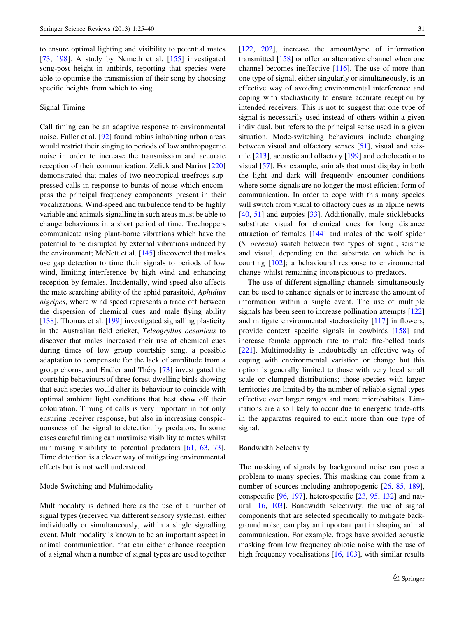to ensure optimal lighting and visibility to potential mates [\[73](#page-12-0), [198\]](#page-15-0). A study by Nemeth et al. [[155](#page-14-0)] investigated song-post height in antbirds, reporting that species were able to optimise the transmission of their song by choosing specific heights from which to sing.

# Signal Timing

Call timing can be an adaptive response to environmental noise. Fuller et al. [[92\]](#page-12-0) found robins inhabiting urban areas would restrict their singing to periods of low anthropogenic noise in order to increase the transmission and accurate reception of their communication. Zelick and Narins [[220\]](#page-15-0) demonstrated that males of two neotropical treefrogs suppressed calls in response to bursts of noise which encompass the principal frequency components present in their vocalizations. Wind-speed and turbulence tend to be highly variable and animals signalling in such areas must be able to change behaviours in a short period of time. Treehoppers communicate using plant-borne vibrations which have the potential to be disrupted by external vibrations induced by the environment; McNett et al. [[145\]](#page-14-0) discovered that males use gap detection to time their signals to periods of low wind, limiting interference by high wind and enhancing reception by females. Incidentally, wind speed also affects the mate searching ability of the aphid parasitoid, Aphidius nigripes, where wind speed represents a trade off between the dispersion of chemical cues and male flying ability [\[138](#page-13-0)]. Thomas et al. [\[199](#page-15-0)] investigated signalling plasticity in the Australian field cricket, Teleogryllus oceanicus to discover that males increased their use of chemical cues during times of low group courtship song, a possible adaptation to compensate for the lack of amplitude from a group chorus, and Endler and Théry [[73\]](#page-12-0) investigated the courtship behaviours of three forest-dwelling birds showing that each species would alter its behaviour to coincide with optimal ambient light conditions that best show off their colouration. Timing of calls is very important in not only ensuring receiver response, but also in increasing conspicuousness of the signal to detection by predators. In some cases careful timing can maximise visibility to mates whilst minimising visibility to potential predators [\[61](#page-12-0), [63](#page-12-0), [73](#page-12-0)]. Time detection is a clever way of mitigating environmental effects but is not well understood.

## Mode Switching and Multimodality

Multimodality is defined here as the use of a number of signal types (received via different sensory systems), either individually or simultaneously, within a single signalling event. Multimodality is known to be an important aspect in animal communication, that can either enhance reception of a signal when a number of signal types are used together [\[122](#page-13-0), [202\]](#page-15-0), increase the amount/type of information transmitted [[158\]](#page-14-0) or offer an alternative channel when one channel becomes ineffective [[116\]](#page-13-0). The use of more than one type of signal, either singularly or simultaneously, is an effective way of avoiding environmental interference and coping with stochasticity to ensure accurate reception by intended receivers. This is not to suggest that one type of signal is necessarily used instead of others within a given individual, but refers to the principal sense used in a given situation. Mode-switching behaviours include changing between visual and olfactory senses [[51\]](#page-12-0), visual and seismic [\[213](#page-15-0)], acoustic and olfactory [[199\]](#page-15-0) and echolocation to visual [\[57](#page-12-0)]. For example, animals that must display in both the light and dark will frequently encounter conditions where some signals are no longer the most efficient form of communication. In order to cope with this many species will switch from visual to olfactory cues as in alpine newts [\[40](#page-11-0), [51](#page-12-0)] and guppies [\[33](#page-11-0)]. Additionally, male sticklebacks substitute visual for chemical cues for long distance attraction of females [[144\]](#page-14-0) and males of the wolf spider (S. ocreata) switch between two types of signal, seismic and visual, depending on the substrate on which he is courting [\[102](#page-13-0)]; a behavioural response to environmental change whilst remaining inconspicuous to predators.

The use of different signalling channels simultaneously can be used to enhance signals or to increase the amount of information within a single event. The use of multiple signals has been seen to increase pollination attempts [[122\]](#page-13-0) and mitigate environmental stochasticity [\[117](#page-13-0)] in flowers, provide context specific signals in cowbirds [[158\]](#page-14-0) and increase female approach rate to male fire-belled toads [\[221](#page-15-0)]. Multimodality is undoubtedly an effective way of coping with environmental variation or change but this option is generally limited to those with very local small scale or clumped distributions; those species with larger territories are limited by the number of reliable signal types effective over larger ranges and more microhabitats. Limitations are also likely to occur due to energetic trade-offs in the apparatus required to emit more than one type of signal.

#### Bandwidth Selectivity

The masking of signals by background noise can pose a problem to many species. This masking can come from a number of sources including anthropogenic [\[26](#page-11-0), [85](#page-12-0), [189](#page-15-0)], conspecific [[96](#page-13-0), [197](#page-15-0)], heterospecific [[23,](#page-11-0) [95](#page-12-0), [132\]](#page-13-0) and natural [\[16](#page-11-0), [103\]](#page-13-0). Bandwidth selectivity, the use of signal components that are selected specifically to mitigate background noise, can play an important part in shaping animal communication. For example, frogs have avoided acoustic masking from low frequency abiotic noise with the use of high frequency vocalisations [[16](#page-11-0), [103](#page-13-0)], with similar results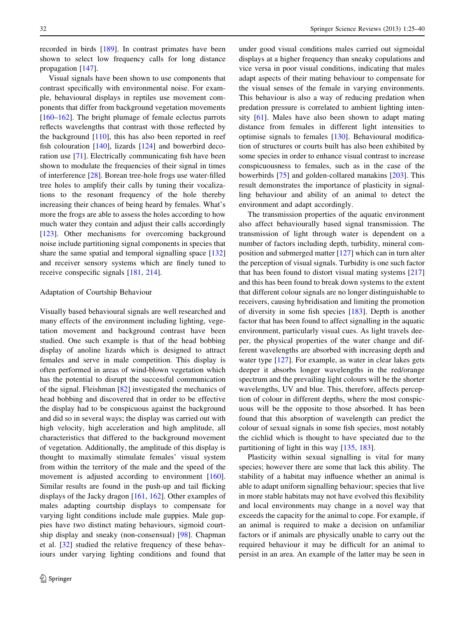recorded in birds [[189\]](#page-15-0). In contrast primates have been shown to select low frequency calls for long distance propagation [\[147](#page-14-0)].

Visual signals have been shown to use components that contrast specifically with environmental noise. For example, behavioural displays in reptiles use movement components that differ from background vegetation movements  $[160-162]$ . The bright plumage of female eclectus parrots reflects wavelengths that contrast with those reflected by the background [[110\]](#page-13-0), this has also been reported in reef fish colouration [\[140](#page-14-0)], lizards [\[124](#page-13-0)] and bowerbird decoration use [\[71](#page-12-0)]. Electrically communicating fish have been shown to modulate the frequencies of their signal in times of interference [[28\]](#page-11-0). Borean tree-hole frogs use water-filled tree holes to amplify their calls by tuning their vocalizations to the resonant frequency of the hole thereby increasing their chances of being heard by females. What's more the frogs are able to assess the holes according to how much water they contain and adjust their calls accordingly [\[123](#page-13-0)]. Other mechanisms for overcoming background noise include partitioning signal components in species that share the same spatial and temporal signalling space [[132\]](#page-13-0) and receiver sensory systems which are finely tuned to receive conspecific signals [\[181](#page-14-0), [214\]](#page-15-0).

## Adaptation of Courtship Behaviour

Visually based behavioural signals are well researched and many effects of the environment including lighting, vegetation movement and background contrast have been studied. One such example is that of the head bobbing display of anoline lizards which is designed to attract females and serve in male competition. This display is often performed in areas of wind-blown vegetation which has the potential to disrupt the successful communication of the signal. Fleishman [[82\]](#page-12-0) investigated the mechanics of head bobbing and discovered that in order to be effective the display had to be conspicuous against the background and did so in several ways; the display was carried out with high velocity, high acceleration and high amplitude, all characteristics that differed to the background movement of vegetation. Additionally, the amplitude of this display is thought to maximally stimulate females' visual system from within the territory of the male and the speed of the movement is adjusted according to environment [\[160](#page-14-0)]. Similar results are found in the push-up and tail flicking displays of the Jacky dragon [\[161](#page-14-0), [162](#page-14-0)]. Other examples of males adapting courtship displays to compensate for varying light conditions include male guppies. Male guppies have two distinct mating behaviours, sigmoid courtship display and sneaky (non-consensual) [[98\]](#page-13-0). Chapman et al. [[32\]](#page-11-0) studied the relative frequency of these behaviours under varying lighting conditions and found that

under good visual conditions males carried out sigmoidal displays at a higher frequency than sneaky copulations and vice versa in poor visual conditions, indicating that males adapt aspects of their mating behaviour to compensate for the visual senses of the female in varying environments. This behaviour is also a way of reducing predation when predation pressure is correlated to ambient lighting intensity [[61\]](#page-12-0). Males have also been shown to adapt mating distance from females in different light intensities to optimise signals to females [[130\]](#page-13-0). Behavioural modification of structures or courts built has also been exhibited by some species in order to enhance visual contrast to increase conspicuousness to females, such as in the case of the bowerbirds [[75\]](#page-12-0) and golden-collared manakins [[203](#page-15-0)]. This result demonstrates the importance of plasticity in signalling behaviour and ability of an animal to detect the environment and adapt accordingly.

The transmission properties of the aquatic environment also affect behaviourally based signal transmission. The transmission of light through water is dependent on a number of factors including depth, turbidity, mineral composition and submerged matter [[127\]](#page-13-0) which can in turn alter the perception of visual signals. Turbidity is one such factor that has been found to distort visual mating systems [[217\]](#page-15-0) and this has been found to break down systems to the extent that different colour signals are no longer distinguishable to receivers, causing hybridisation and limiting the promotion of diversity in some fish species [[183\]](#page-14-0). Depth is another factor that has been found to affect signalling in the aquatic environment, particularly visual cues. As light travels deeper, the physical properties of the water change and different wavelengths are absorbed with increasing depth and water type [[127\]](#page-13-0). For example, as water in clear lakes gets deeper it absorbs longer wavelengths in the red/orange spectrum and the prevailing light colours will be the shorter wavelengths, UV and blue. This, therefore, affects perception of colour in different depths, where the most conspicuous will be the opposite to those absorbed. It has been found that this absorption of wavelength can predict the colour of sexual signals in some fish species, most notably the cichlid which is thought to have speciated due to the partitioning of light in this way [[135,](#page-13-0) [183](#page-14-0)].

Plasticity within sexual signalling is vital for many species; however there are some that lack this ability. The stability of a habitat may influence whether an animal is able to adapt uniform signalling behaviour; species that live in more stable habitats may not have evolved this flexibility and local environments may change in a novel way that exceeds the capacity for the animal to cope. For example, if an animal is required to make a decision on unfamiliar factors or if animals are physically unable to carry out the required behaviour it may be difficult for an animal to persist in an area. An example of the latter may be seen in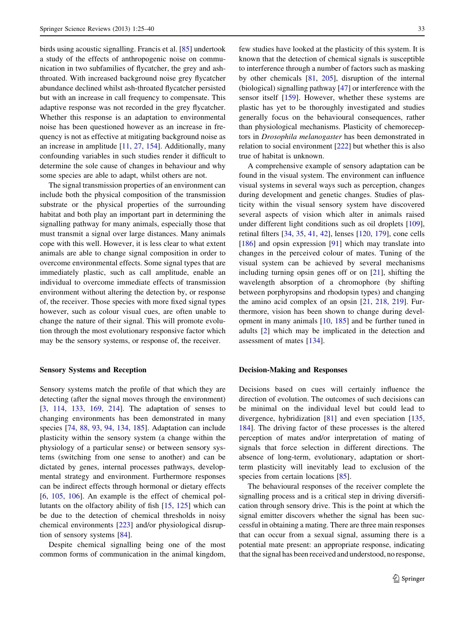birds using acoustic signalling. Francis et al. [\[85\]](#page-12-0) undertook a study of the effects of anthropogenic noise on communication in two subfamilies of flycatcher, the grey and ashthroated. With increased background noise grey flycatcher abundance declined whilst ash-throated flycatcher persisted but with an increase in call frequency to compensate. This adaptive response was not recorded in the grey flycatcher. Whether this response is an adaptation to environmental noise has been questioned however as an increase in frequency is not as effective at mitigating background noise as an increase in amplitude  $[11, 27, 154]$  $[11, 27, 154]$  $[11, 27, 154]$  $[11, 27, 154]$  $[11, 27, 154]$  $[11, 27, 154]$ . Additionally, many confounding variables in such studies render it difficult to determine the sole cause of changes in behaviour and why some species are able to adapt, whilst others are not.

The signal transmission properties of an environment can include both the physical composition of the transmission substrate or the physical properties of the surrounding habitat and both play an important part in determining the signalling pathway for many animals, especially those that must transmit a signal over large distances. Many animals cope with this well. However, it is less clear to what extent animals are able to change signal composition in order to overcome environmental effects. Some signal types that are immediately plastic, such as call amplitude, enable an individual to overcome immediate effects of transmission environment without altering the detection by, or response of, the receiver. Those species with more fixed signal types however, such as colour visual cues, are often unable to change the nature of their signal. This will promote evolution through the most evolutionary responsive factor which may be the sensory systems, or response of, the receiver.

## Sensory Systems and Reception

Sensory systems match the profile of that which they are detecting (after the signal moves through the environment) [\[3](#page-11-0), [114,](#page-13-0) [133,](#page-13-0) [169](#page-14-0), [214\]](#page-15-0). The adaptation of senses to changing environments has been demonstrated in many species [[74,](#page-12-0) [88](#page-12-0), [93](#page-12-0), [94,](#page-12-0) [134,](#page-13-0) [185](#page-14-0)]. Adaptation can include plasticity within the sensory system (a change within the physiology of a particular sense) or between sensory systems (switching from one sense to another) and can be dictated by genes, internal processes pathways, developmental strategy and environment. Furthermore responses can be indirect effects through hormonal or dietary effects [\[6](#page-11-0), [105,](#page-13-0) [106](#page-13-0)]. An example is the effect of chemical pollutants on the olfactory ability of fish [\[15](#page-11-0), [125\]](#page-13-0) which can be due to the detection of chemical thresholds in noisy chemical environments [\[223](#page-15-0)] and/or physiological disruption of sensory systems [[84\]](#page-12-0).

Despite chemical signalling being one of the most common forms of communication in the animal kingdom, few studies have looked at the plasticity of this system. It is known that the detection of chemical signals is susceptible to interference through a number of factors such as masking by other chemicals [[81,](#page-12-0) [205](#page-15-0)], disruption of the internal (biological) signalling pathway [\[47](#page-11-0)] or interference with the sensor itself [\[159](#page-14-0)]. However, whether these systems are plastic has yet to be thoroughly investigated and studies generally focus on the behavioural consequences, rather than physiological mechanisms. Plasticity of chemoreceptors in Drosophila melanogaster has been demonstrated in relation to social environment [[222\]](#page-15-0) but whether this is also true of habitat is unknown.

A comprehensive example of sensory adaptation can be found in the visual system. The environment can influence visual systems in several ways such as perception, changes during development and genetic changes. Studies of plasticity within the visual sensory system have discovered several aspects of vision which alter in animals raised under different light conditions such as oil droplets [\[109](#page-13-0)], retinal filters [[34,](#page-11-0) [35](#page-11-0), [41,](#page-11-0) [42](#page-11-0)], lenses [[120,](#page-13-0) [179](#page-14-0)], cone cells  $[186]$  $[186]$  and opsin expression  $[91]$  $[91]$  which may translate into changes in the perceived colour of mates. Tuning of the visual system can be achieved by several mechanisms including turning opsin genes off or on [[21\]](#page-11-0), shifting the wavelength absorption of a chromophore (by shifting between porphyropsins and rhodopsin types) and changing the amino acid complex of an opsin [[21,](#page-11-0) [218](#page-15-0), [219](#page-15-0)]. Furthermore, vision has been shown to change during development in many animals [\[10](#page-11-0), [185\]](#page-14-0) and be further tuned in adults [[2\]](#page-10-0) which may be implicated in the detection and assessment of mates [[134\]](#page-13-0).

# Decision-Making and Responses

Decisions based on cues will certainly influence the direction of evolution. The outcomes of such decisions can be minimal on the individual level but could lead to divergence, hybridization [\[81](#page-12-0)] and even speciation [[135,](#page-13-0) [184](#page-14-0)]. The driving factor of these processes is the altered perception of mates and/or interpretation of mating of signals that force selection in different directions. The absence of long-term, evolutionary, adaptation or shortterm plasticity will inevitably lead to exclusion of the species from certain locations [[85\]](#page-12-0).

The behavioural responses of the receiver complete the signalling process and is a critical step in driving diversification through sensory drive. This is the point at which the signal emitter discovers whether the signal has been successful in obtaining a mating. There are three main responses that can occur from a sexual signal, assuming there is a potential mate present: an appropriate response, indicating that the signal has been received and understood, no response,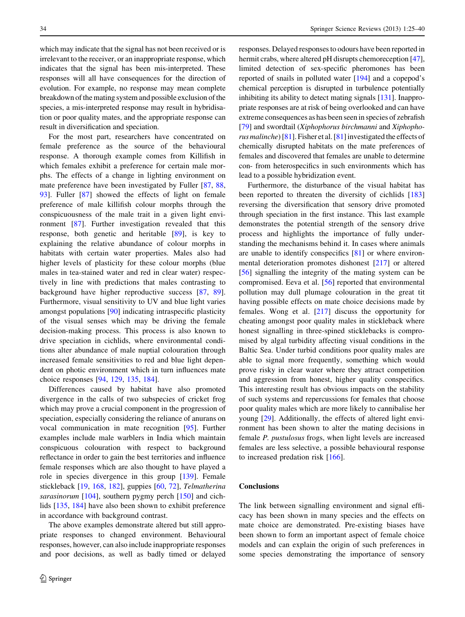which may indicate that the signal has not been received or is irrelevant to the receiver, or an inappropriate response, which indicates that the signal has been mis-interpreted. These responses will all have consequences for the direction of evolution. For example, no response may mean complete breakdown of the mating system and possible exclusion of the species, a mis-interpreted response may result in hybridisation or poor quality mates, and the appropriate response can result in diversification and speciation.

For the most part, researchers have concentrated on female preference as the source of the behavioural response. A thorough example comes from Killifish in which females exhibit a preference for certain male morphs. The effects of a change in lighting environment on mate preference have been investigated by Fuller [[87,](#page-12-0) [88,](#page-12-0) [93](#page-12-0)]. Fuller [[87\]](#page-12-0) showed the effects of light on female preference of male killifish colour morphs through the conspicuousness of the male trait in a given light environment [[87\]](#page-12-0). Further investigation revealed that this response, both genetic and heritable [\[89](#page-12-0)], is key to explaining the relative abundance of colour morphs in habitats with certain water properties. Males also had higher levels of plasticity for these colour morphs (blue males in tea-stained water and red in clear water) respectively in line with predictions that males contrasting to background have higher reproductive success [\[87](#page-12-0), [89](#page-12-0)]. Furthermore, visual sensitivity to UV and blue light varies amongst populations [[90\]](#page-12-0) indicating intraspecific plasticity of the visual senses which may be driving the female decision-making process. This process is also known to drive speciation in cichlids, where environmental conditions alter abundance of male nuptial colouration through increased female sensitivities to red and blue light dependent on photic environment which in turn influences mate choice responses [[94,](#page-12-0) [129,](#page-13-0) [135,](#page-13-0) [184](#page-14-0)].

Differences caused by habitat have also promoted divergence in the calls of two subspecies of cricket frog which may prove a crucial component in the progression of speciation, especially considering the reliance of anurans on vocal communication in mate recognition [[95](#page-12-0)]. Further examples include male warblers in India which maintain conspicuous colouration with respect to background reflectance in order to gain the best territories and influence female responses which are also thought to have played a role in species divergence in this group [\[139](#page-14-0)]. Female stickleback [[19,](#page-11-0) [168](#page-14-0), [182\]](#page-14-0), guppies [[60,](#page-12-0) [72](#page-12-0)], Telmatherina sarasinorum [[104\]](#page-13-0), southern pygmy perch [[150\]](#page-14-0) and cichlids [[135,](#page-13-0) [184](#page-14-0)] have also been shown to exhibit preference in accordance with background contrast.

The above examples demonstrate altered but still appropriate responses to changed environment. Behavioural responses, however, can also include inappropriate responses and poor decisions, as well as badly timed or delayed responses. Delayed responses to odours have been reported in hermit crabs, where altered pH disrupts chemoreception [[47](#page-11-0)], limited detection of sex-specific pheromones has been reported of snails in polluted water [\[194](#page-15-0)] and a copepod's chemical perception is disrupted in turbulence potentially inhibiting its ability to detect mating signals [\[131\]](#page-13-0). Inappropriate responses are at risk of being overlooked and can have extreme consequences as has been seen in species of zebrafish [\[79](#page-12-0)] and swordtail (Xiphophorus birchmanni and Xiphopho-rus malinche) [\[81](#page-12-0)]. Fisher et al.  $[81]$  $[81]$  investigated the effects of chemically disrupted habitats on the mate preferences of females and discovered that females are unable to determine con- from heterospecifics in such environments which has lead to a possible hybridization event.

Furthermore, the disturbance of the visual habitat has been reported to threaten the diversity of cichlids [[183\]](#page-14-0) reversing the diversification that sensory drive promoted through speciation in the first instance. This last example demonstrates the potential strength of the sensory drive process and highlights the importance of fully understanding the mechanisms behind it. In cases where animals are unable to identify conspecifics [[81\]](#page-12-0) or where environmental deterioration promotes dishonest [\[217](#page-15-0)] or altered [\[56](#page-12-0)] signalling the integrity of the mating system can be compromised. Eeva et al. [[56\]](#page-12-0) reported that environmental pollution may dull plumage colouration in the great tit having possible effects on mate choice decisions made by females. Wong et al. [[217\]](#page-15-0) discuss the opportunity for cheating amongst poor quality males in stickleback where honest signalling in three-spined sticklebacks is compromised by algal turbidity affecting visual conditions in the Baltic Sea. Under turbid conditions poor quality males are able to signal more frequently, something which would prove risky in clear water where they attract competition and aggression from honest, higher quality conspecifics. This interesting result has obvious impacts on the stability of such systems and repercussions for females that choose poor quality males which are more likely to cannibalise her young [[29\]](#page-11-0). Additionally, the effects of altered light environment has been shown to alter the mating decisions in female P. pustulosus frogs, when light levels are increased females are less selective, a possible behavioural response to increased predation risk [\[166](#page-14-0)].

# **Conclusions**

The link between signalling environment and signal efficacy has been shown in many species and the effects on mate choice are demonstrated. Pre-existing biases have been shown to form an important aspect of female choice models and can explain the origin of such preferences in some species demonstrating the importance of sensory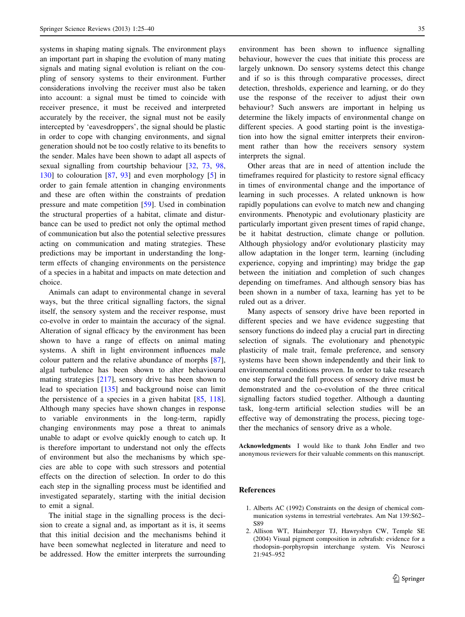<span id="page-10-0"></span>systems in shaping mating signals. The environment plays an important part in shaping the evolution of many mating signals and mating signal evolution is reliant on the coupling of sensory systems to their environment. Further considerations involving the receiver must also be taken into account: a signal must be timed to coincide with receiver presence, it must be received and interpreted accurately by the receiver, the signal must not be easily intercepted by 'eavesdroppers', the signal should be plastic in order to cope with changing environments, and signal generation should not be too costly relative to its benefits to the sender. Males have been shown to adapt all aspects of sexual signalling from courtship behaviour [[32,](#page-11-0) [73](#page-12-0), [98,](#page-13-0) [130\]](#page-13-0) to colouration [[87,](#page-12-0) [93](#page-12-0)] and even morphology [\[5](#page-11-0)] in order to gain female attention in changing environments and these are often within the constraints of predation pressure and mate competition [\[59](#page-12-0)]. Used in combination the structural properties of a habitat, climate and disturbance can be used to predict not only the optimal method of communication but also the potential selective pressures acting on communication and mating strategies. These predictions may be important in understanding the longterm effects of changing environments on the persistence of a species in a habitat and impacts on mate detection and choice.

Animals can adapt to environmental change in several ways, but the three critical signalling factors, the signal itself, the sensory system and the receiver response, must co-evolve in order to maintain the accuracy of the signal. Alteration of signal efficacy by the environment has been shown to have a range of effects on animal mating systems. A shift in light environment influences male colour pattern and the relative abundance of morphs [\[87](#page-12-0)], algal turbulence has been shown to alter behavioural mating strategies [[217\]](#page-15-0), sensory drive has been shown to lead to speciation [[135\]](#page-13-0) and background noise can limit the persistence of a species in a given habitat [[85,](#page-12-0) [118](#page-13-0)]. Although many species have shown changes in response to variable environments in the long-term, rapidly changing environments may pose a threat to animals unable to adapt or evolve quickly enough to catch up. It is therefore important to understand not only the effects of environment but also the mechanisms by which species are able to cope with such stressors and potential effects on the direction of selection. In order to do this each step in the signalling process must be identified and investigated separately, starting with the initial decision to emit a signal.

The initial stage in the signalling process is the decision to create a signal and, as important as it is, it seems that this initial decision and the mechanisms behind it have been somewhat neglected in literature and need to be addressed. How the emitter interprets the surrounding environment has been shown to influence signalling behaviour, however the cues that initiate this process are largely unknown. Do sensory systems detect this change and if so is this through comparative processes, direct detection, thresholds, experience and learning, or do they use the response of the receiver to adjust their own behaviour? Such answers are important in helping us determine the likely impacts of environmental change on different species. A good starting point is the investigation into how the signal emitter interprets their environment rather than how the receivers sensory system interprets the signal.

Other areas that are in need of attention include the timeframes required for plasticity to restore signal efficacy in times of environmental change and the importance of learning in such processes. A related unknown is how rapidly populations can evolve to match new and changing environments. Phenotypic and evolutionary plasticity are particularly important given present times of rapid change, be it habitat destruction, climate change or pollution. Although physiology and/or evolutionary plasticity may allow adaptation in the longer term, learning (including experience, copying and imprinting) may bridge the gap between the initiation and completion of such changes depending on timeframes. And although sensory bias has been shown in a number of taxa, learning has yet to be ruled out as a driver.

Many aspects of sensory drive have been reported in different species and we have evidence suggesting that sensory functions do indeed play a crucial part in directing selection of signals. The evolutionary and phenotypic plasticity of male trait, female preference, and sensory systems have been shown independently and their link to environmental conditions proven. In order to take research one step forward the full process of sensory drive must be demonstrated and the co-evolution of the three critical signalling factors studied together. Although a daunting task, long-term artificial selection studies will be an effective way of demonstrating the process, piecing together the mechanics of sensory drive as a whole.

Acknowledgments I would like to thank John Endler and two anonymous reviewers for their valuable comments on this manuscript.

## References

- 1. Alberts AC (1992) Constraints on the design of chemical communication systems in terrestrial vertebrates. Am Nat 139:S62– S89
- 2. Allison WT, Haimberger TJ, Hawryshyn CW, Temple SE (2004) Visual pigment composition in zebrafish: evidence for a rhodopsin–porphyropsin interchange system. Vis Neurosci 21:945–952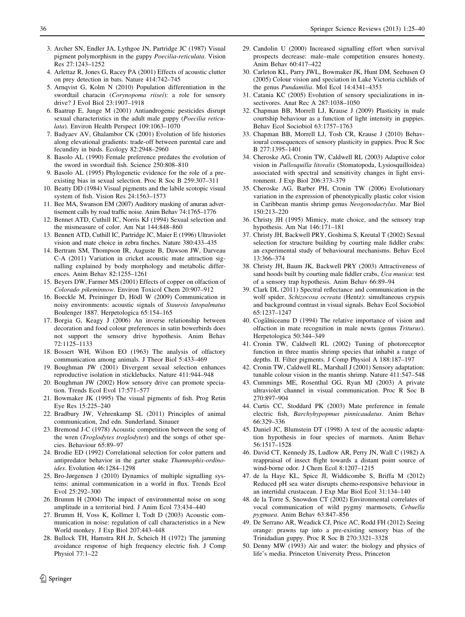- <span id="page-11-0"></span>3. Archer SN, Endler JA, Lythgoe JN, Partridge JC (1987) Visual pigment polymorphism in the guppy Poecilia-reticulata. Vision Res 27:1243–1252
- 4. Arlettaz R, Jones G, Racey PA (2001) Effects of acoustic clutter on prey detection in bats. Nature 414:742–745
- 5. Arnqvist G, Kolm N (2010) Population differentiation in the swordtail characin (Corynopoma riisei): a role for sensory drive? J Evol Biol 23:1907–1918
- 6. Baatrup E, Junge M (2001) Antiandrogenic pesticides disrupt sexual characteristics in the adult male guppy (Poecilia reticulata). Environ Health Perspect 109:1063–1070
- 7. Badyaev AV, Ghalambor CK (2001) Evolution of life histories along elevational gradients: trade-off between parental care and fecundity in birds. Ecology 82:2948–2960
- 8. Basolo AL (1990) Female preference predates the evolution of the sword in swordtail fish. Science 250:808–810
- 9. Basolo AL (1995) Phylogenetic evidence for the role of a preexisting bias in sexual selection. Proc R Soc B 259:307–311
- 10. Beatty DD (1984) Visual pigments and the labile scotopic visual system of fish. Vision Res 24:1563–1573
- 11. Bee MA, Swanson EM (2007) Auditory masking of anuran advertisement calls by road traffic noise. Anim Behav 74:1765–1776
- 12. Bennet ATD, Cuthill IC, Norris KJ (1994) Sexual selection and the mismeasure of color. Am Nat 144:848–860
- 13. Bennett ATD, Cuthill IC, Partridge JC, Maier E (1996) Ultraviolet vision and mate choice in zebra finches. Nature 380:433–435
- 14. Bertram SM, Thompson IR, Auguste B, Dawson JW, Darveau C-A (2011) Variation in cricket acoustic mate attraction signalling explained by body morphology and metabolic differences. Anim Behav 82:1255–1261
- 15. Beyers DW, Farmer MS (2001) Effects of copper on olfaction of Colorado pikeminnow. Environ Toxicol Chem 20:907–912
- 16. Boeckle M, Preininger D, Hödl W (2009) Communication in noisy environments: acoustic signals of Staurois latopalmatus Boulenger 1887. Herpetologica 65:154–165
- 17. Borgia G, Keagy J (2006) An inverse relationship between decoration and food colour preferences in satin bowerbirds does not support the sensory drive hypothesis. Anim Behav 72:1125–1133
- 18. Bossert WH, Wilson EO (1963) The analysis of olfactory communication among animals. J Theor Biol 5:433–469
- 19. Boughman JW (2001) Divergent sexual selection enhances reproductive isolation in sticklebacks. Nature 411:944–948
- 20. Boughman JW (2002) How sensory drive can promote speciation. Trends Ecol Evol 17:571–577
- 21. Bowmaker JK (1995) The visual pigments of fish. Prog Retin Eye Res 15:225–240
- 22. Bradbury JW, Vehrenkamp SL (2011) Principles of animal communication, 2nd edn. Sunderland, Sinauer
- 23. Bremond J-C (1978) Acoustic competition between the song of the wren (*Troglodytes troglodytes*) and the songs of other species. Behaviour 65:89–97
- 24. Brodie ED (1992) Correlational selection for color pattern and antipredator behavior in the garter snake Thamnophis-ordinoides. Evolution 46:1284–1298
- 25. Bro-Jørgensen J (2010) Dynamics of multiple signalling systems: animal communication in a world in flux. Trends Ecol Evol 25:292–300
- 26. Brumm H (2004) The impact of environmental noise on song amplitude in a territorial bird. J Anim Ecol 73:434–440
- 27. Brumm H, Voss K, Kollmer I, Todt D (2003) Acoustic communication in noise: regulation of call characteristics in a New World monkey. J Exp Biol 207:443–448
- 28. Bullock TH, Hamstra RH Jr, Scheich H (1972) The jamming avoidance response of high frequency electric fish. J Comp Physiol 77:1–22
- 29. Candolin U (2000) Increased signalling effort when survival prospects decrease: male–male competition ensures honesty. Anim Behav 60:417–422
- 30. Carleton KL, Parry JWL, Bowmaker JK, Hunt DM, Seehusen O (2005) Colour vision and speciation in Lake Victoria cichlids of the genus Pundamilia. Mol Ecol 14:4341–4353
- 31. Catania KC (2005) Evolution of sensory specializations in insectivores. Anat Rec A 287:1038–1050
- 32. Chapman BB, Morrell LJ, Krause J (2009) Plasticity in male courtship behaviour as a function of light intensity in guppies. Behav Ecol Sociobiol 63:1757–1763
- 33. Chapman BB, Morrell LJ, Tosh CR, Krause J (2010) Behavioural consequences of sensory plasticity in guppies. Proc R Soc B 277:1395–1401
- 34. Cheroske AG, Cronin TW, Caldwell RL (2003) Adaptive color vision in Pullosquilla litoralis (Stomatopoda, Lysiosquilloidea) associated with spectral and sensitivity changes in light environment. J Exp Biol 206:373–379
- 35. Cheroske AG, Barber PH, Cronin TW (2006) Evolutionary variation in the expression of phenotypically plastic color vision in Caribbean mantis shrimp genus Neogonodactylus. Mar Biol 150:213–220
- 36. Christy JH (1995) Mimicy, mate choice, and the sensory trap hypothesis. Am Nat 146:171–181
- 37. Christy JH, Backwell PRY, Goshima S, Kreutal T (2002) Sexual selection for structure building by courting male fiddler crabs: an experimental study of behavioural mechanisms. Behav Ecol 13:366–374
- 38. Christy JH, Baum JK, Backwell PRY (2003) Attractiveness of sand hoods built by courting male fiddler crabs, Uca musica: test of a sensory trap hypothesis. Anim Behav 66:89–94
- 39. Clark DL (2011) Spectral reflectance and communication in the wolf spider, Schizocosa ocreata (Hentz): simultaneous crypsis and background contrast in visual signals. Behav Ecol Sociobiol 65:1237–1247
- 40. Cogălniceanu D (1994) The relative importance of vision and olfaction in mate recognition in male newts (genus Triturus). Herpetologica 50:344–349
- 41. Cronin TW, Caldwell RL (2002) Tuning of photoreceptor function in three mantis shrimp species that inhabit a range of depths. II. Filter pigments. J Comp Physiol A 188:187–197
- 42. Cronin TW, Caldwell RL, Marshall J (2001) Sensory adaptation: tunable colour vision in the mantis shrimp. Nature 411:547–548
- 43. Cummings ME, Rosenthal GG, Ryan MJ (2003) A private ultraviolet channel in visual communication. Proc R Soc B 270:897–904
- 44. Curtis CC, Stoddard PK (2003) Mate preference in female electric fish, Barchyhypopmus pinnicaudatus. Anim Behav 66:329–336
- 45. Daniel JC, Blumstein DT (1998) A test of the acoustic adaptation hypothesis in four species of marmots. Anim Behav 56:1517–1528
- 46. David CT, Kennedy JS, Ludlow AR, Perry JN, Wall C (1982) A reappraisal of insect flight towards a distant point source of wind-borne odor. J Chem Ecol 8:1207–1215
- 47. de la Haye KL, Spice JI, Widdicombe S, Briffa M (2012) Reduced pH sea water disrupts chemo-responsive behaviour in an intertidal crustacean. J Exp Mar Biol Ecol 31:134–140
- 48. de la Torre S, Snowdon CT (2002) Environmental correlates of vocal communication of wild pygmy marmosets, Cebuella pygmaea. Anim Behav 63:847–856
- 49. De Serrano AR, Weadick CJ, Price AC, Rodd FH (2012) Seeing orange: prawns tap into a pre-existing sensory bias of the Trinidadian guppy. Proc R Soc B 270:3321–3328
- 50. Denny MW (1993) Air and water: the biology and physics of life's media. Princeton University Press, Princeton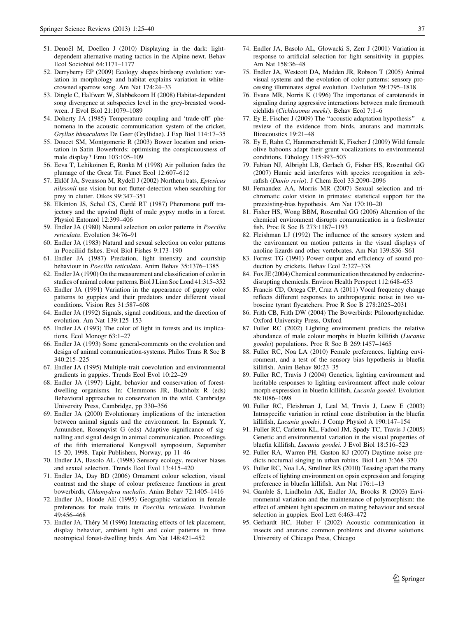- <span id="page-12-0"></span>51. Denoël M, Doellen J (2010) Displaying in the dark: lightdependent alternative mating tactics in the Alpine newt. Behav Ecol Sociobiol 64:1171–1177
- 52. Derryberry EP (2009) Ecology shapes birdsong evolution: variation in morphology and habitat explains variation in whitecrowned sparrow song. Am Nat 174:24–33
- 53. Dingle C, Halfwert W, Slabbekoorn H (2008) Habitat-dependent song divergence at subspecies level in the grey-breasted woodwren. J Evol Biol 21:1079–1089
- 54. Doherty JA (1985) Temperature coupling and 'trade-off' phenomena in the acoustic communication system of the cricket, Gryllus bimaculatus De Geer (Gryllidae). J Exp Biol 114:17–35
- 55. Doucet SM, Montgomerie R (2003) Bower location and orientation in Satin Bowerbirds: optimising the conspicuousness of male display? Emu 103:105–109
- 56. Eeva T, Lehikoinen E, Rönkä M (1998) Air pollution fades the plumage of the Great Tit. Funct Ecol 12:607–612
- 57. Eklöf JA, Svensson M, Rydell J (2002) Northern bats, Eptesicus nilssonii use vision but not flutter-detection when searching for prey in clutter. Oikos 99:347–351
- 58. Elkinton JS, Schal CS, Cardé RT (1987) Pheromone puff trajectory and the upwind flight of male gypsy moths in a forest. Physiol Entomol 12:399–406
- 59. Endler JA (1980) Natural selection on color patterns in Poecilia reticulata. Evolution 34:76–91
- 60. Endler JA (1983) Natural and sexual selection on color patterns in Poeciliid fishes. Evol Biol Fishes 9:173–190
- 61. Endler JA (1987) Predation, light intensity and courtship behaviour in Poecilia reticulata. Anim Behav 35:1376–1385
- 62. Endler JA (1990) On the measurement and classification of color in studies of animal colour patterns. Biol J Linn Soc Lond 41:315–352
- 63. Endler JA (1991) Variation in the appearance of guppy color patterns to guppies and their predators under different visual conditions. Vision Res 31:587–608
- 64. Endler JA (1992) Signals, signal conditions, and the direction of evolution. Am Nat 139:125–153
- 65. Endler JA (1993) The color of light in forests and its implications. Ecol Monogr 63:1–27
- 66. Endler JA (1993) Some general-comments on the evolution and design of animal communication-systems. Philos Trans R Soc B 340:215–225
- 67. Endler JA (1995) Multiple-trait coevolution and environmental gradients in guppies. Trends Ecol Evol 10:22–29
- 68. Endler JA (1997) Light, behavior and conservation of forestdwelling organisms. In: Clemmons JR, Buchholz R (eds) Behavioral approaches to conservation in the wild. Cambridge University Press, Cambridge, pp 330–356
- 69. Endler JA (2000) Evolutionary implications of the interaction between animal signals and the environment. In: Espmark Y, Amundsen, Rosenqvist G (eds) Adaptive significance of signalling and signal design in animal communication. Proceedings of the fifth international Kongsvoll symposium, September 15–20, 1998. Tapir Publishers, Norway, pp 11–46
- 70. Endler JA, Basolo AL (1998) Sensory ecology, receiver biases and sexual selection. Trends Ecol Evol 13:415–420
- 71. Endler JA, Day BD (2006) Ornament colour selection, visual contrast and the shape of colour preference functions in great bowerbirds, Chlamydera nuchalis. Anim Behav 72:1405–1416
- 72. Endler JA, Houde AE (1995) Geographic-variation in female preferences for male traits in Poecilia reticulata. Evolution 49:456–468
- 73. Endler JA, Théry M (1996) Interacting effects of lek placement, display behavior, ambient light and color patterns in three neotropical forest-dwelling birds. Am Nat 148:421–452
- 74. Endler JA, Basolo AL, Glowacki S, Zerr J (2001) Variation in response to artificial selection for light sensitivity in guppies. Am Nat 158:36–48
- 75. Endler JA, Westcott DA, Madden JR, Robson T (2005) Animal visual systems and the evolution of color patterns: sensory processing illuminates signal evolution. Evolution 59:1795–1818
- 76. Evans MR, Norris K (1996) The importance of carotenoids in signaling during aggressive interactions between male firemouth cichlids (Cichlasoma meeki). Behav Ecol 7:1–6
- 77. Ey E, Fischer J (2009) The ''acoustic adaptation hypothesis''—a review of the evidence from birds, anurans and mammals. Bioacoustics 19:21–48
- 78. Ey E, Rahn C, Hammerschmidt K, Fischer J (2009) Wild female olive baboons adapt their grunt vocalizations to environmental conditions. Ethology 115:493–503
- 79. Fabian NJ, Albright LB, Gerlach G, Fisher HS, Rosenthal GG (2007) Humic acid interferes with species recognition in zebrafish (Danio rerio). J Chem Ecol 33:2090–2096
- 80. Fernandez AA, Morris MR (2007) Sexual selection and trichromatic color vision in primates: statistical support for the preexisting-bias hypothesis. Am Nat 170:10–20
- 81. Fisher HS, Wong BBM, Rosenthal GG (2006) Alteration of the chemical environment disrupts communication in a freshwater fish. Proc R Soc B 273:1187–1193
- 82. Fleishman LJ (1992) The influence of the sensory system and the environment on motion patterns in the visual displays of anoline lizards and other vertebrates. Am Nat 139:S36–S61
- 83. Forrest TG (1991) Power output and efficiency of sound production by crickets. Behav Ecol 2:327–338
- 84. Fox JE (2004) Chemical communication threatened by endocrinedisrupting chemicals. Environ Health Perspect 112:648–653
- 85. Francis CD, Ortega CP, Cruz A (2011) Vocal frequency change reflects different responses to anthropogenic noise in two suboscine tyrant flycatchers. Proc R Soc B 278:2025–2031
- 86. Frith CB, Frith DW (2004) The Bowerbirds: Ptilonorhynchidae. Oxford University Press, Oxford
- 87. Fuller RC (2002) Lighting environment predicts the relative abundance of male colour morphs in bluefin killifish (Lucania goodei) populations. Proc R Soc B 269:1457–1465
- 88. Fuller RC, Noa LA (2010) Female preferences, lighting environment, and a test of the sensory bias hypothesis in bluefin killifish. Anim Behav 80:23–35
- 89. Fuller RC, Travis J (2004) Genetics, lighting environment and heritable responses to lighting environment affect male colour morph expression in bluefin killifish, Lucania goodei. Evolution 58:1086–1098
- 90. Fuller RC, Fleishman J, Leal M, Travis J, Loew E (2003) Intraspecific variation in retinal cone distribution in the bluefin killifish, Lucania goodei. J Comp Physiol A 190:147–154
- 91. Fuller RC, Carleton KL, Fadool JM, Spady TC, Travis J (2005) Genetic and environmental variation in the visual properties of bluefin killifish, Lucania goodei. J Evol Biol 18:516–523
- 92. Fuller RA, Warren PH, Gaston KJ (2007) Daytime noise predicts nocturnal singing in urban robins. Biol Lett 3:368–370
- 93. Fuller RC, Noa LA, Strellner RS (2010) Teasing apart the many effects of lighting environment on opsin expression and foraging preference in bluefin killifish. Am Nat 176:1–13
- 94. Gamble S, Lindholm AK, Endler JA, Brooks R (2003) Environmental variation and the maintenance of polymorphism: the effect of ambient light spectrum on mating behaviour and sexual selection in guppies. Ecol Lett 6:463–472
- 95. Gerhardt HC, Huber F (2002) Acoustic communication in insects and anurans: common problems and diverse solutions. University of Chicago Press, Chicago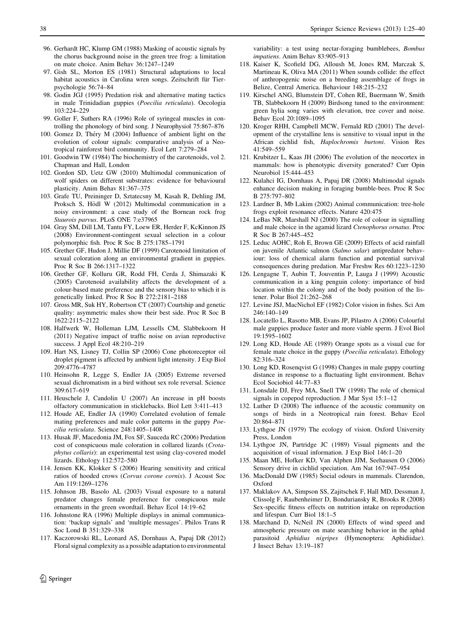- <span id="page-13-0"></span>96. Gerhardt HC, Klump GM (1988) Masking of acoustic signals by the chorus background noise in the green tree frog: a limitation on mate choice. Anim Behav 36:1247–1249
- 97. Gish SL, Morton ES (1981) Structural adaptations to local habitat acoustics in Carolina wren songs. Zeitschrift für Tierpsychologie 56:74–84
- 98. Godin JGJ (1995) Predation risk and alternative mating tactics in male Trinidadian guppies (Poecilia reticulata). Oecologia 103:224–229
- 99. Goller F, Suthers RA (1996) Role of syringeal muscles in controlling the phonology of bird song. J Neurophysiol 75:867–876
- 100. Gomez D, Théry M (2004) Influence of ambient light on the evolution of colour signals: comparative analysis of a Neotropical rainforest bird community. Ecol Lett 7:279–284
- 101. Goodwin TW (1984) The biochemistry of the carotenoids, vol 2. Chapman and Hall, London
- 102. Gordon SD, Uetz GW (2010) Multimodal communication of wolf spiders on different substrates: evidence for behavioural plasticity. Anim Behav 81:367–375
- 103. Grafe TU, Preininger D, Sztatecsny M, Kasah R, Dehling JM, Proksch S, Hödl W (2012) Multimodal communication in a noisy environment: a case study of the Bornean rock frog Staurois parvus. PLoS ONE 7:e37965
- 104. Gray SM, Dill LM, Tantu FY, Loew ER, Herder F, KcKinnon JS (2008) Environment-contingent sexual selection in a colour polymorphic fish. Proc R Soc B 275:1785–1791
- 105. Grether GF, Hudon J, Millie DF (1999) Carotenoid limitation of sexual coloration along an environmental gradient in guppies. Proc R Soc B 266:1317–1322
- 106. Grether GF, Kolluru GR, Rodd FH, Cerda J, Shimazaki K (2005) Carotenoid availability affects the development of a colour-based mate preference and the sensory bias to which it is genetically linked. Proc R Soc B 272:2181–2188
- 107. Gross MR, Suk HY, Robertson CT (2007) Courtship and genetic quality: asymmetric males show their best side. Proc R Soc B 1622:2115–2122
- 108. Halfwerk W, Holleman LJM, Lessells CM, Slabbekoorn H (2011) Negative impact of traffic noise on avian reproductive success. J Appl Ecol 48:210–219
- 109. Hart NS, Lisney TJ, Collin SP (2006) Cone photoreceptor oil droplet pigment is affected by ambient light intensity. J Exp Biol 209:4776–4787
- 110. Heinsohn R, Legge S, Endler JA (2005) Extreme reversed sexual dichromatism in a bird without sex role reversal. Science 309:617–619
- 111. Heuschele J, Candolin U (2007) An increase in pH boosts olfactory communication in sticklebacks. Biol Lett 3:411–413
- 112. Houde AE, Endler JA (1990) Correlated evolution of female mating preferences and male color patterns in the guppy Poecilia reticulata. Science 248:1405–1408
- 113. Husak JF, Macedonia JM, Fox SF, Sauceda RC (2006) Predation cost of conspicuous male coloration in collared lizards (Crotaphytus collaris): an experimental test using clay-covered model lizards. Ethology 112:572–580
- 114. Jensen KK, Klokker S (2006) Hearing sensitivity and critical ratios of hooded crows (Corvus corone cornix). J Acoust Soc Am 119:1269–1276
- 115. Johnson JB, Basolo AL (2003) Visual exposure to a natural predator changes female preference for conspicuous male ornaments in the green swordtail. Behav Ecol 14:19–62
- 116. Johnstone RA (1996) Multiple displays in animal communication: 'backup signals' and 'multiple messages'. Philos Trans R Soc Lond B 351:329–338
- 117. Kaczorowski RL, Leonard AS, Dornhaus A, Papaj DR (2012) Floral signal complexity as a possible adaptation to environmental

variability: a test using nectar-foraging bumblebees, Bombus impatiens. Anim Behav 83:905–913

- 118. Kaiser K, Scofield DG, Alloush M, Jones RM, Marczak S, Martineau K, Oliva MA (2011) When sounds collide: the effect of anthropogenic noise on a breeding assemblage of frogs in Belize, Central America. Behaviour 148:215–232
- 119. Kirschel ANG, Blumstein DT, Cohen RE, Buermann W, Smith TB, Slabbekoorn H (2009) Birdsong tuned to the environment: green hylia song varies with elevation, tree cover and noise. Behav Ecol 20:1089–1095
- 120. Kroger RHH, Campbell MCW, Fernald RD (2001) The development of the crystalline lens is sensitive to visual input in the African cichlid fish, Haplochromis burtoni. Vision Res 41:549–559
- 121. Krubitzer L, Kaas JH (2006) The evolution of the neocortex in mammals: how is phenotypic diversity generated? Curr Opin Neurobiol 15:444–453
- 122. Kulahci IG, Dornhaus A, Papaj DR (2008) Multimodal signals enhance decision making in foraging bumble-bees. Proc R Soc B 275:797–802
- 123. Lardner B, Mb Lakim (2002) Animal communication: tree-hole frogs exploit resonance effects. Nature 420:475
- 124. LeBas NR, Marshall NJ (2000) The role of colour in signalling and male choice in the agamid lizard Ctenophorus ornatus. Proc R Soc B 267:445–452
- 125. Leduc AOHC, Roh E, Brown GE (2009) Effects of acid rainfall on juvenile Atlantic salmon (Salmo salar) antipredator behaviour: loss of chemical alarm function and potential survival consequences during predation. Mar Freshw Res 60:1223–1230
- 126. Lengagne T, Aubin T, Jouventin P, Lauga J (1999) Acoustic communication in a king penguin colony: importance of bird location within the colony and of the body position of the listener. Polar Biol 21:262–268
- 127. Levine JSJ, MacNichol EF (1982) Color vision in fishes. Sci Am 246:140–149
- 128. Locatello L, Rasotto MB, Evans JP, Pilastro A (2006) Colourful male guppies produce faster and more viable sperm. J Evol Biol 19:1595–1602
- 129. Long KD, Houde AE (1989) Orange spots as a visual cue for female mate choice in the guppy (Poecilia reticulata). Ethology 82:316–324
- 130. Long KD, Rosenqvist G (1998) Changes in male guppy courting distance in response to a fluctuating light environment. Behav Ecol Sociobiol 44:77–83
- 131. Lonsdale DJ, Frey MA, Snell TW (1998) The role of chemical signals in copepod reproduction. J Mar Syst 15:1–12
- 132. Luther D (2008) The influence of the acoustic community on songs of birds in a Neotropical rain forest. Behav Ecol 20:864–871
- 133. Lythgoe JN (1979) The ecology of vision. Oxford University Press, London
- 134. Lythgoe JN, Partridge JC (1989) Visual pigments and the acquisition of visual information. J Exp Biol 146:1–20
- 135. Maan ME, Hofker KD, Van Alphen JJM, Seehausen O (2006) Sensory drive in cichlid speciation. Am Nat 167:947–954
- 136. MacDonald DW (1985) Social odours in mammals. Clarendon, Oxford
- 137. Maklakov AA, Simpson SS, Zajitschek F, Hall MD, Dessman J, Clissolg F, Raubenheimer D, Bonduriansky R, Brooks R (2008) Sex-specific fitness effects on nutrition intake on reproduction and lifespan. Curr Biol 18:1–5
- 138. Marchand D, NcNeil JN (2000) Effects of wind speed and atmospheric pressure on mate searching behavior in the aphid parasitoid Aphidius nigripes (Hymenoptera: Aphidiidae). J Insect Behav 13:19–187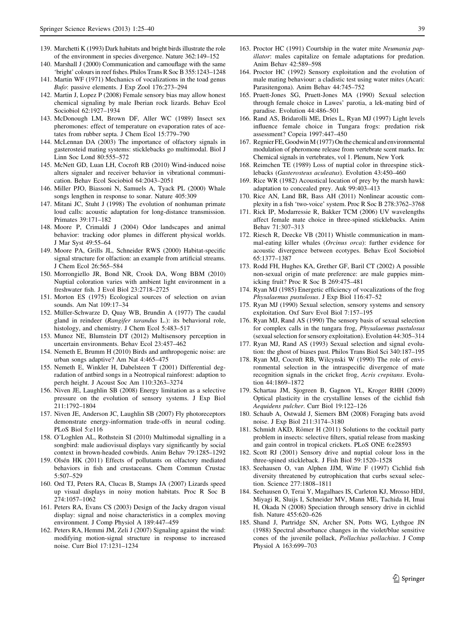- <span id="page-14-0"></span>139. Marchetti K (1993) Dark habitats and bright birds illustrate the role of the environment in species divergence. Nature 362:149–152
- 140. Marshall J (2000) Communication and camouflage with the same 'bright' colours in reef fishes. Philos Trans R Soc B 355:1243–1248
- 141. Martin WF (1971) Mechanics of vocalizations in the toad genus Bufo: passive elements. J Exp Zool 176:273–294
- 142. Martin J, Lopez P (2008) Female sensory bias may allow honest chemical signaling by male Iberian rock lizards. Behav Ecol Sociobiol 62:1927–1934
- 143. McDonough LM, Brown DF, Aller WC (1989) Insect sex pheromones: effect of temperature on evaporation rates of acetates from rubber septa. J Chem Ecol 15:779–790
- 144. McLennan DA (2003) The importance of olfactory signals in gasterosteid mating systems: sticklebacks go multimodal. Biol J Linn Soc Lond 80:555–572
- 145. McNett GD, Luan LH, Cocroft RB (2010) Wind-induced noise alters signaler and receiver behavior in vibrational communication. Behav Ecol Sociobiol 64:2043–2051
- 146. Miller PJO, Biassoni N, Samuels A, Tyack PL (2000) Whale songs lengthen in response to sonar. Nature 405:309
- 147. Mitani JC, Stuht J (1998) The evolution of nonhuman primate loud calls: acoustic adaptation for long-distance transmission. Primates 39:171–182
- 148. Moore P, Crimaldi J (2004) Odor landscapes and animal behavior: tracking odor plumes in different physical worlds. J Mar Syst 49:55–64
- 149. Moore PA, Grills JL, Schneider RWS (2000) Habitat-specific signal structure for olfaction: an example from artificial streams. J Chem Ecol 26:565–584
- 150. Morrongiello JR, Bond NR, Crook DA, Wong BBM (2010) Nuptial coloration varies with ambient light environment in a freshwater fish. J Evol Biol 23:2718–2725
- 151. Morton ES (1975) Ecological sources of selection on avian sounds. Am Nat 109:17–34
- 152. Müller-Schwarze D, Quay WB, Brundin A (1977) The caudal gland in reindeer (Rangifer tarandus L.): its behavioral role, histology, and chemistry. J Chem Ecol 5:483–517
- 153. Munoz NE, Blumstein DT (2012) Multisensory perception in uncertain environments. Behav Ecol 23:457–462
- 154. Nemeth E, Brumm H (2010) Birds and anthropogenic noise: are urban songs adaptive? Am Nat 4:465–475
- 155. Nemeth E, Winkler H, Dabelsteen T (2001) Differential degradation of antbird songs in a Neotropical rainforest: adaption to perch height. J Acoust Soc Am 110:3263–3274
- 156. Niven JE, Laughlin SB (2008) Energy limitation as a selective pressure on the evolution of sensory systems. J Exp Biol 211:1792–1804
- 157. Niven JE, Anderson JC, Laughlin SB (2007) Fly photoreceptors demonstrate energy-information trade-offs in neural coding. PLoS Biol 5:e116
- 158. O'Loghlen AL, Rothstein SI (2010) Multimodal signalling in a songbird: male audiovisual displays vary significantly by social context in brown-headed cowbirds. Anim Behav 79:1285–1292
- 159. Olsén HK (2011) Effects of pollutants on olfactory mediated behaviors in fish and crustaceans. Chem Commun Crustac 5:507–529
- 160. Ord TJ, Peters RA, Clucas B, Stamps JA (2007) Lizards speed up visual displays in noisy motion habitats. Proc R Soc B 274:1057–1062
- 161. Peters RA, Evans CS (2003) Design of the Jacky dragon visual display: signal and noise characteristics in a complex moving environment. J Comp Physiol A 189:447–459
- 162. Peters RA, Hemmi JM, Zeli J (2007) Signaling against the wind: modifying motion-signal structure in response to increased noise. Curr Biol 17:1231–1234
- 163. Proctor HC (1991) Courtship in the water mite Neumania papillator: males capitalize on female adaptations for predation. Anim Behav 42:589–598
- 164. Proctor HC (1992) Sensory exploitation and the evolution of male mating behaviour: a cladistic test using water mites (Acari: Parasitengona). Anim Behav 44:745–752
- 165. Pruett-Jones SG, Pruett-Jones MA (1990) Sexual selection through female choice in Lawes' parotia, a lek-mating bird of paradise. Evolution 44:486–501
- 166. Rand AS, Bridarolli ME, Dries L, Ryan MJ (1997) Light levels influence female choice in Tungara frogs: predation risk assessment? Copeia 1997:447–450
- 167. Regnier FE, Goodwin M (1977) On thechemical and environmental modulation of pheromone release from vertebrate scent marks. In: Chemical signals in vertebrates, vol 1. Plenum, New York
- 168. Reimchen TE (1989) Loss of nuptial color in threespine sticklebacks (Gasterosteus aculeatus). Evolution 43:450–460
- 169. Rice WR (1982) Acoustical location of prey by the marsh hawk: adaptation to concealed prey. Auk 99:403–413
- 170. Rice AN, Land BR, Bass AH (2011) Nonlinear acoustic complexity in a fish 'two-voice' system. Proc R Soc B 278:3762–3768
- 171. Rick IP, Modarressie R, Bakker TCM (2006) UV wavelengths affect female mate choice in three-spined sticklebacks. Anim Behav 71:307–313
- 172. Riesch R, Deecke VB (2011) Whistle communication in mammal-eating killer whales (Orcinus orca): further evidence for acoustic divergence between ecotypes. Behav Ecol Sociobiol 65:1377–1387
- 173. Rodd FH, Hughes KA, Grether GF, Baril CT (2002) A possible non-sexual origin of mate preference: are male guppies mimicking fruit? Proc R Soc B 269:475–481
- 174. Ryan MJ (1985) Energetic efficiency of vocalizations of the frog Physalaemus pustulosus. J Exp Biol 116:47–52
- 175. Ryan MJ (1990) Sexual selection, sensory systems and sensory exploitation. Oxf Surv Evol Biol 7:157–195
- 176. Ryan MJ, Rand AS (1990) The sensory basis of sexual selection for complex calls in the tungara frog, Physalaemus pustulosus (sexual selection for sensory exploitation). Evolution 44:305–314
- 177. Ryan MJ, Rand AS (1993) Sexual selection and signal evolution: the ghost of biases past. Philos Trans Biol Sci 340:187–195
- 178. Ryan MJ, Cocroft RB, Wilcynski W (1990) The role of environmental selection in the intraspecific divergence of mate recognition signals in the cricket frog, Acris crepitans. Evolution 44:1869–1872
- 179. Schartau JM, Sjogreen B, Gagnon YL, Kroger RHH (2009) Optical plasticity in the crystalline lenses of the cichlid fish Aequidens pulcher. Curr Biol 19:122–126
- 180. Schaub A, Ostwald J, Siemers BM (2008) Foraging bats avoid noise. J Exp Biol 211:3174–3180
- 181. Schmidt AKD, Römer H (2011) Solutions to the cocktail party problem in insects: selective filters, spatial release from masking and gain control in tropical crickets. PLoS ONE 6:e28593
- 182. Scott RJ (2001) Sensory drive and nuptial colour loss in the three-spined stickleback. J Fish Biol 59:1520–1528
- 183. Seehausen O, van Alphen JJM, Witte F (1997) Cichlid fish diversity threatened by eutrophication that curbs sexual selection. Science 277:1808–1811
- 184. Seehausen O, Terai Y, Magalhaes IS, Carleton KJ, Mrosso HDJ, Miyagi R, Sluijs I, Schneider MV, Mann ME, Tachida H, Imai H, Okada N (2008) Speciation through sensory drive in cichlid fish. Nature 455:620–626
- 185. Shand J, Partridge SN, Archer SN, Potts WG, Lythgoe JN (1988) Spectral absorbance changes in the violet/blue sensitive cones of the juvenile pollack, Pollachius pollachius. J Comp Physiol A 163:699–703